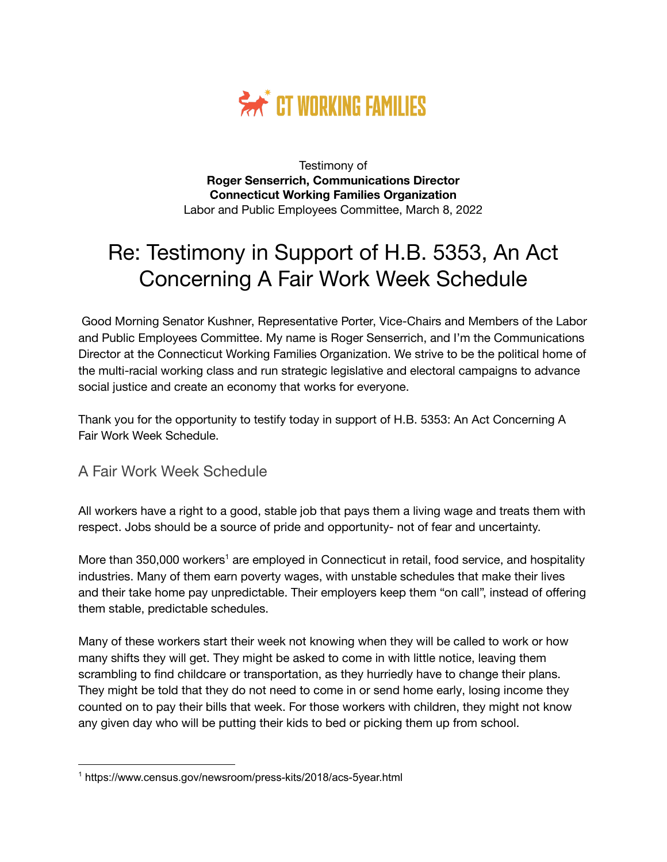

Testimony of **Roger Senserrich, Communications Director Connecticut Working Families Organization** Labor and Public Employees Committee, March 8, 2022

# Re: Testimony in Support of H.B. 5353, An Act Concerning A Fair Work Week Schedule

Good Morning Senator Kushner, Representative Porter, Vice-Chairs and Members of the Labor and Public Employees Committee. My name is Roger Senserrich, and I'm the Communications Director at the Connecticut Working Families Organization. We strive to be the political home of the multi-racial working class and run strategic legislative and electoral campaigns to advance social justice and create an economy that works for everyone.

Thank you for the opportunity to testify today in support of H.B. 5353: An Act Concerning A Fair Work Week Schedule.

#### A Fair Work Week Schedule

All workers have a right to a good, stable job that pays them a living wage and treats them with respect. Jobs should be a source of pride and opportunity- not of fear and uncertainty.

More than 350,000 workers<sup>1</sup> are employed in Connecticut in retail, food service, and hospitality industries. Many of them earn poverty wages, with unstable schedules that make their lives and their take home pay unpredictable. Their employers keep them "on call", instead of offering them stable, predictable schedules.

Many of these workers start their week not knowing when they will be called to work or how many shifts they will get. They might be asked to come in with little notice, leaving them scrambling to find childcare or transportation, as they hurriedly have to change their plans. They might be told that they do not need to come in or send home early, losing income they counted on to pay their bills that week. For those workers with children, they might not know any given day who will be putting their kids to bed or picking them up from school.

<sup>1</sup> https://www.census.gov/newsroom/press-kits/2018/acs-5year.html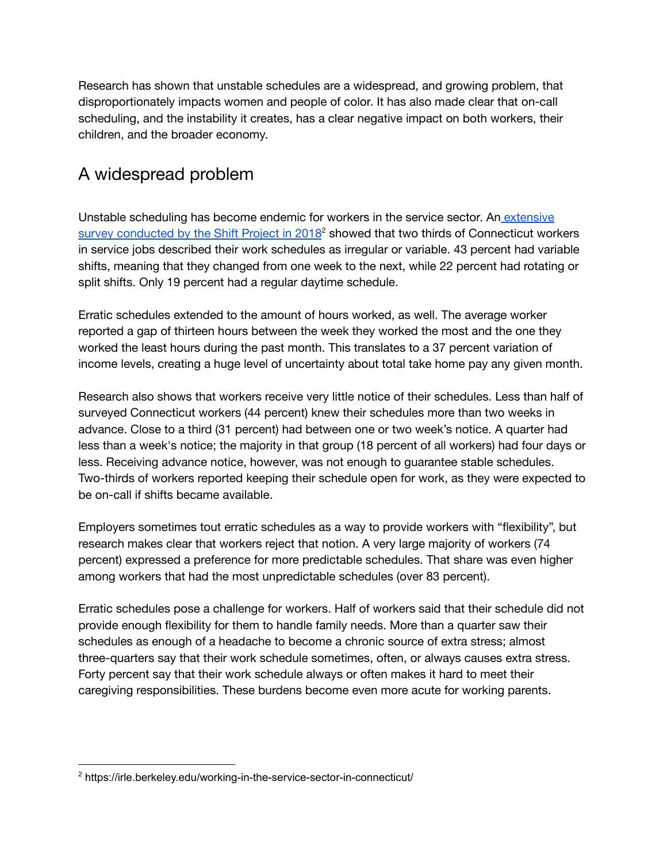Research has shown that unstable schedules are a widespread, and growing problem, that disproportionately impacts women and people of color. It has also made clear that on-call scheduling, and the instability it creates, has a clear negative impact on both workers, their children, and the broader economy.

## A widespread problem

Unstable scheduling has become endemic for workers in the service sector. An [extensive](https://irle.berkeley.edu/working-in-the-service-sector-in-connecticut/) survey [conducted](https://irle.berkeley.edu/working-in-the-service-sector-in-connecticut/) by the Shift Project in 2018<sup>2</sup> showed that two thirds of Connecticut workers in service jobs described their work schedules as irregular or variable. 43 percent had variable shifts, meaning that they changed from one week to the next, while 22 percent had rotating or split shifts. Only 19 percent had a regular daytime schedule.

Erratic schedules extended to the amount of hours worked, as well. The average worker reported a gap of thirteen hours between the week they worked the most and the one they worked the least hours during the past month. This translates to a 37 percent variation of income levels, creating a huge level of uncertainty about total take home pay any given month.

Research also shows that workers receive very little notice of their schedules. Less than half of surveyed Connecticut workers (44 percent) knew their schedules more than two weeks in advance. Close to a third (31 percent) had between one or two week's notice. A quarter had less than a week's notice; the majority in that group (18 percent of all workers) had four days or less. Receiving advance notice, however, was not enough to guarantee stable schedules. Two-thirds of workers reported keeping their schedule open for work, as they were expected to be on-call if shifts became available.

Employers sometimes tout erratic schedules as a way to provide workers with "flexibility", but research makes clear that workers reject that notion. A very large majority of workers (74 percent) expressed a preference for more predictable schedules. That share was even higher among workers that had the most unpredictable schedules (over 83 percent).

Erratic schedules pose a challenge for workers. Half of workers said that their schedule did not provide enough flexibility for them to handle family needs. More than a quarter saw their schedules as enough of a headache to become a chronic source of extra stress; almost three-quarters say that their work schedule sometimes, often, or always causes extra stress. Forty percent say that their work schedule always or often makes it hard to meet their caregiving responsibilities. These burdens become even more acute for working parents.

<sup>&</sup>lt;sup>2</sup> https://irle.berkeley.edu/working-in-the-service-sector-in-connecticut/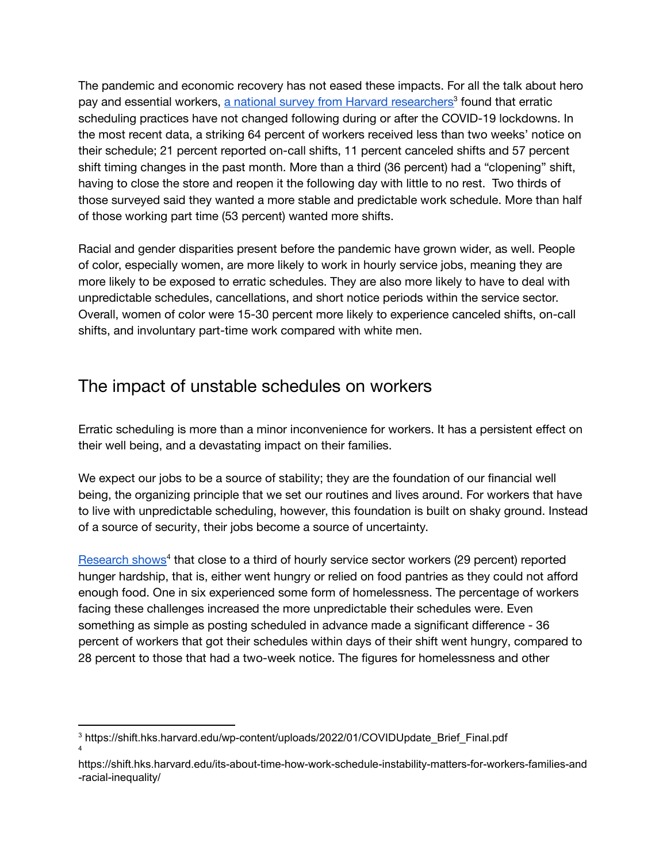The pandemic and economic recovery has not eased these impacts. For all the talk about hero pay and essential workers, a national survey from Harvard [researchers](https://shift.hks.harvard.edu/wp-content/uploads/2022/01/COVIDUpdate_Brief_Final.pdf)<sup>3</sup> found that erratic scheduling practices have not changed following during or after the COVID-19 lockdowns. In the most recent data, a striking 64 percent of workers received less than two weeks' notice on their schedule; 21 percent reported on-call shifts, 11 percent canceled shifts and 57 percent shift timing changes in the past month. More than a third (36 percent) had a "clopening" shift, having to close the store and reopen it the following day with little to no rest. Two thirds of those surveyed said they wanted a more stable and predictable work schedule. More than half of those working part time (53 percent) wanted more shifts.

Racial and gender disparities present before the pandemic have grown wider, as well. People of color, especially women, are more likely to work in hourly service jobs, meaning they are more likely to be exposed to erratic schedules. They are also more likely to have to deal with unpredictable schedules, cancellations, and short notice periods within the service sector. Overall, women of color were 15-30 percent more likely to experience canceled shifts, on-call shifts, and involuntary part-time work compared with white men.

#### The impact of unstable schedules on workers

Erratic scheduling is more than a minor inconvenience for workers. It has a persistent effect on their well being, and a devastating impact on their families.

We expect our jobs to be a source of stability; they are the foundation of our financial well being, the organizing principle that we set our routines and lives around. For workers that have to live with unpredictable scheduling, however, this foundation is built on shaky ground. Instead of a source of security, their jobs become a source of uncertainty.

[Research](https://shift.hks.harvard.edu/its-about-time-how-work-schedule-instability-matters-for-workers-families-and-racial-inequality/) shows<sup>4</sup> that close to a third of hourly service sector workers (29 percent) reported hunger hardship, that is, either went hungry or relied on food pantries as they could not afford enough food. One in six experienced some form of homelessness. The percentage of workers facing these challenges increased the more unpredictable their schedules were. Even something as simple as posting scheduled in advance made a significant difference - 36 percent of workers that got their schedules within days of their shift went hungry, compared to 28 percent to those that had a two-week notice. The figures for homelessness and other

<sup>4</sup> <sup>3</sup> https://shift.hks.harvard.edu/wp-content/uploads/2022/01/COVIDUpdate\_Brief\_Final.pdf

https://shift.hks.harvard.edu/its-about-time-how-work-schedule-instability-matters-for-workers-families-and -racial-inequality/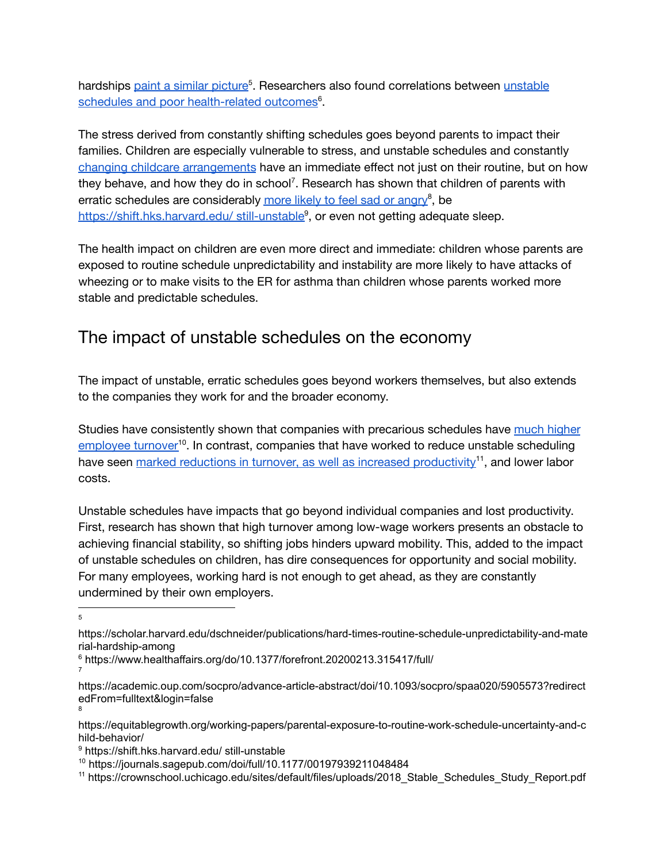hardships paint a similar [picture](https://scholar.harvard.edu/dschneider/publications/hard-times-routine-schedule-unpredictability-and-material-hardship-among)<sup>5</sup>. Researchers also found correlations between [unstable](https://www.healthaffairs.org/do/10.1377/forefront.20200213.315417/full/) schedules and poor [health-related](https://www.healthaffairs.org/do/10.1377/forefront.20200213.315417/full/) outcomes<sup>6</sup>.

The stress derived from constantly shifting schedules goes beyond parents to impact their families. Children are especially vulnerable to stress, and unstable schedules and constantly changing childcare [arrangements](https://academic.oup.com/socpro/advance-article-abstract/doi/10.1093/socpro/spaa020/5905573?redirectedFrom=fulltext&login=false) have an immediate effect not just on their routine, but on how they behave, and how they do in school<sup>7</sup>. Research has shown that children of parents with erratic schedules are considerably more likely to feel sad or [angry](https://equitablegrowth.org/working-papers/parental-exposure-to-routine-work-schedule-uncertainty-and-child-behavior/)<sup>8</sup>, be [https://shift.hks.harvard.edu/](https://shift.hks.harvard.edu/%20still-unstable) still-unstable<sup>9</sup>, or even not getting adequate sleep.

The health impact on children are even more direct and immediate: children whose parents are exposed to routine schedule unpredictability and instability are more likely to have attacks of wheezing or to make visits to the ER for asthma than children whose parents worked more stable and predictable schedules.

### The impact of unstable schedules on the economy

The impact of unstable, erratic schedules goes beyond workers themselves, but also extends to the companies they work for and the broader economy.

Studies have consistently shown that companies with precarious schedules have much [higher](https://journals.sagepub.com/doi/full/10.1177/00197939211048484) [employee](https://journals.sagepub.com/doi/full/10.1177/00197939211048484) turnover<sup>10</sup>. In contrast, companies that have worked to reduce unstable scheduling have seen <u>marked reductions in turnover, as well as increased [productivity](https://crownschool.uchicago.edu/sites/default/files/uploads/2018_Stable_Schedules_Study_Report.pdf)</u><sup>11</sup>, and lower labor costs.

Unstable schedules have impacts that go beyond individual companies and lost productivity. First, research has shown that high turnover among low-wage workers presents an obstacle to achieving financial stability, so shifting jobs hinders upward mobility. This, added to the impact of unstable schedules on children, has dire consequences for opportunity and social mobility. For many employees, working hard is not enough to get ahead, as they are constantly undermined by their own employers.

5

7

- https://scholar.harvard.edu/dschneider/publications/hard-times-routine-schedule-unpredictability-and-mate rial-hardship-among
- <sup>6</sup> https://www.healthaffairs.org/do/10.1377/forefront.20200213.315417/full/

<sup>8</sup> https://academic.oup.com/socpro/advance-article-abstract/doi/10.1093/socpro/spaa020/5905573?redirect edFrom=fulltext&login=false

https://equitablegrowth.org/working-papers/parental-exposure-to-routine-work-schedule-uncertainty-and-c hild-behavior/

<sup>9</sup> https://shift.hks.harvard.edu/ still-unstable

<sup>10</sup> https://journals.sagepub.com/doi/full/10.1177/00197939211048484

<sup>11</sup> https://crownschool.uchicago.edu/sites/default/files/uploads/2018\_Stable\_Schedules\_Study\_Report.pdf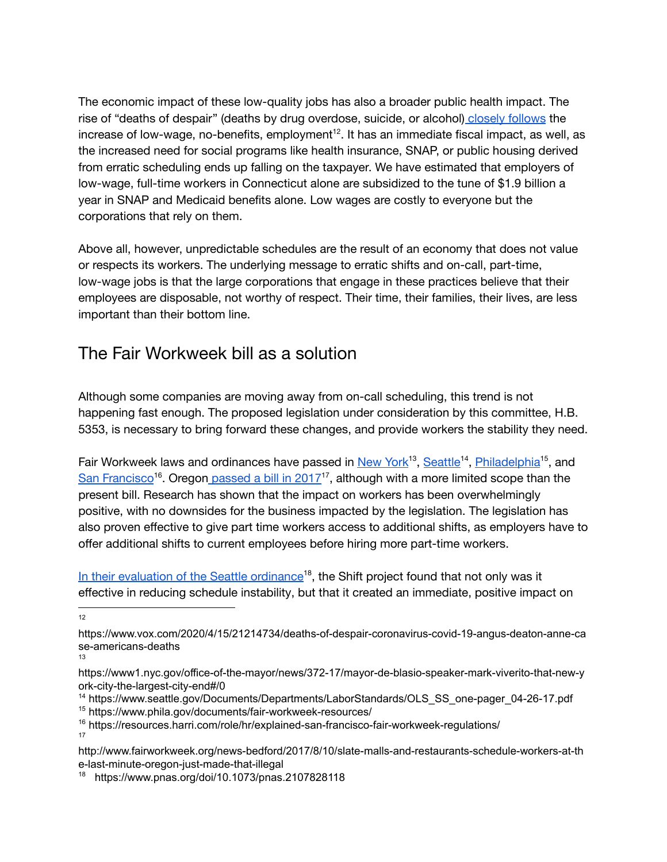The economic impact of these low-quality jobs has also a broader public health impact. The rise of "deaths of despair" (deaths by drug overdose, suicide, or alcohol) closely [follows](https://www.vox.com/2020/4/15/21214734/deaths-of-despair-coronavirus-covid-19-angus-deaton-anne-case-americans-deaths) the increase of low-wage, no-benefits, employment $^{12}$ . It has an immediate fiscal impact, as well, as the increased need for social programs like health insurance, SNAP, or public housing derived from erratic scheduling ends up falling on the taxpayer. We have estimated that employers of low-wage, full-time workers in Connecticut alone are subsidized to the tune of \$1.9 billion a year in SNAP and Medicaid benefits alone. Low wages are costly to everyone but the corporations that rely on them.

Above all, however, unpredictable schedules are the result of an economy that does not value or respects its workers. The underlying message to erratic shifts and on-call, part-time, low-wage jobs is that the large corporations that engage in these practices believe that their employees are disposable, not worthy of respect. Their time, their families, their lives, are less important than their bottom line.

#### The Fair Workweek bill as a solution

Although some companies are moving away from on-call scheduling, this trend is not happening fast enough. The proposed legislation under consideration by this committee, H.B. 5353, is necessary to bring forward these changes, and provide workers the stability they need.

Fair Workweek laws and ordinances have passed in [New](https://www1.nyc.gov/office-of-the-mayor/news/372-17/mayor-de-blasio-speaker-mark-viverito-that-new-york-city-the-largest-city-end#/0) York<sup>13</sup>, [Seattle](https://www.seattle.gov/Documents/Departments/LaborStandards/OLS_SS_one-pager_04-26-17.pdf)<sup>14</sup>, [Philadelphia](https://www.phila.gov/documents/fair-workweek-resources/)<sup>15</sup>, and San [Francisco](https://resources.harri.com/role/hr/explained-san-francisco-fair-workweek-regulations/)<sup>16</sup>. Oregon [passed](http://www.fairworkweek.org/news-bedford/2017/8/10/slate-malls-and-restaurants-schedule-workers-at-the-last-minute-oregon-just-made-that-illegal) a bill in 2017<sup>17</sup>, although with a more limited scope than the present bill. Research has shown that the impact on workers has been overwhelmingly positive, with no downsides for the business impacted by the legislation. The legislation has also proven effective to give part time workers access to additional shifts, as employers have to offer additional shifts to current employees before hiring more part-time workers.

In their [evaluation](https://www.pnas.org/doi/10.1073/pnas.2107828118) of the Seattle ordinance<sup>18</sup>, the Shift project found that not only was it effective in reducing schedule instability, but that it created an immediate, positive impact on

12

- https://www1.nyc.gov/office-of-the-mayor/news/372-17/mayor-de-blasio-speaker-mark-viverito-that-new-y ork-city-the-largest-city-end#/0
- <sup>14</sup> https://www.seattle.gov/Documents/Departments/LaborStandards/OLS\_SS\_one-pager\_04-26-17.pdf
- <sup>15</sup> https://www.phila.gov/documents/fair-workweek-resources/
- 17 <sup>16</sup> https://resources.harri.com/role/hr/explained-san-francisco-fair-workweek-regulations/
- http://www.fairworkweek.org/news-bedford/2017/8/10/slate-malls-and-restaurants-schedule-workers-at-th e-last-minute-oregon-just-made-that-illegal

https://www.vox.com/2020/4/15/21214734/deaths-of-despair-coronavirus-covid-19-angus-deaton-anne-ca se-americans-deaths

<sup>13</sup>

<sup>18</sup> https://www.pnas.org/doi/10.1073/pnas.2107828118